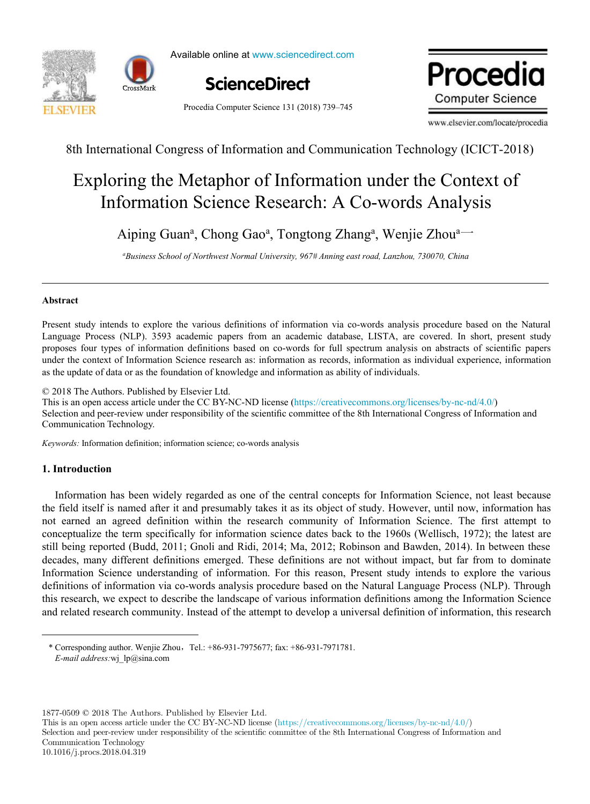

Available online at www.sciencedirect.com Science<br>Director Director Director



Procedia Computer Science 131 (2018) 739–745

ScienceDirect **Procedia Computer ScienceDirect Procedia** Procedia

www.elsevier.com/locate/procedia

8th International Congress of Information and Communication Technology (ICICT-2018)

# Exploring the Metaphor of Information under the Context of Information Science Research: A Co-words Analysis Exploring the Metaphor of Information under the Context of Information Science Research: A Co-words Analysis

Aiping Guan<sup>a</sup>, Chong Gao<sup>a</sup>, Tongtong Zhang<sup>a</sup>, Wenjie Zhou<sup>a---</sup>

<sup>4</sup>Business School of Northwest Normal University, 967# Anning east road, Lanzhou, 730070, China

# **Abstract**

Language Process (NLP). 3593 academic papers from an academic database, LISTA, are covered. In short, present study proposes four types of information definitions based on co-words for full spectrum analysis on abstracts of scientific papers under the context of Information Science research as: information as records, information as individual experience, information as the update of data or as the foundation of knowledge and information as ability of individuals. Present study intends to explore the various definitions of information via co-words analysis procedure based on the Natural

© 2018 The Authors. Published by Elsevier Ltd.

 $\approx$  2018 The Additions. Fubrished by Eisevier Edd.<br>This is an open access article under the CC BY-NC-ND license (https://creativecommons.org/licenses/by-nc-nd/4.0/) Selection and peer-review under responsibility of the scientific committee of the 8th International Congress of Information and Communication Technology.  $K$ 

*Keywords:* Information definition; information science; co-words analysis

# **1. Introduction**

Information has been widely regarded as one of the central concepts for Information Science, not least because Information has been widely regarded as one of the central concepts for Information Science, not least because<br>the field itself is named after it and presumably takes it as its object of study. However, until now, informat not earned an agreed definition within the research community of Information Science. The first attempt to conceptualize the term specifically for information science dates back to the 1960s (Wellisch, 1972); the latest are still being reported (Budd, 2011; Gnoli and Ridi, 2014; Ma, 2012; Robinson and Bawden, 2014). In between these decades, many different definitions emerged. These definitions are not without impact, but far from to dominate decades, many different definitions emerged. These definitions are not without impact, but far from to dominate<br>Information Science understanding of information. For this reason, Present study intends to explore the variou definitions of information via co-words analysis procedure based on the Natural Language Process (NLP). Through this research, we expect to describe the landscape of various information definitions among the Information Science and related research community. Instead of the attempt to develop a universal definition of information, this research

\* Corresponding author. Wenjie Zhou, Tel.: +86-931-7975677; fax: +86-931-7971781. *E-mail address:* wj\_lp@sina.com  $\frac{1}{2}$  i  $\circ$  $\sim$  Corresponding author. Wenjie Zhou,Tel.: +86-931-7975677; fax: +86-931-7975677; fax: +86-931-7971781. Fax: +86-931-7971781. Fax: +86-931-7975677; fax: +86-931-7971781. Fax: +86-931-7975677; fax: +86-931-7971781. Fax: +

1877-0509 © 2018 The Authors. Published by Elsevier Ltd.

This is an open access article under the CC BY-NC-ND license (https://creativecommons.org/licenses/by-nc-nd/4.0/) Selection and peer-review under responsibility of the scientific committee of the 8th International Congress of Information and Communication Technology 10.1016/j.procs.2018.04.319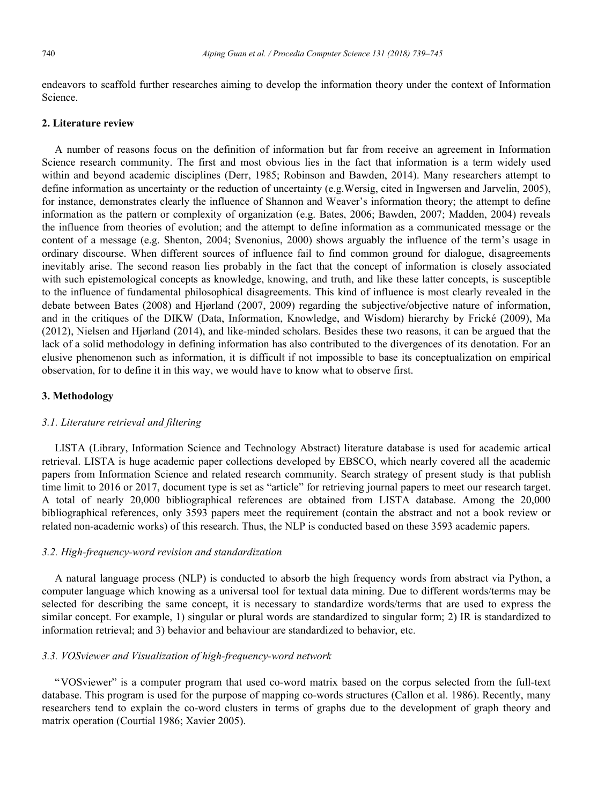endeavors to scaffold further researches aiming to develop the information theory under the context of Information Science.

### **2. Literature review**

A number of reasons focus on the definition of information but far from receive an agreement in Information Science research community. The first and most obvious lies in the fact that information is a term widely used within and beyond academic disciplines (Derr, 1985; Robinson and Bawden, 2014). Many researchers attempt to define information as uncertainty or the reduction of uncertainty (e.g.Wersig, cited in Ingwersen and Jarvelin, 2005), for instance, demonstrates clearly the influence of Shannon and Weaver's information theory; the attempt to define information as the pattern or complexity of organization (e.g. Bates, 2006; Bawden, 2007; Madden, 2004) reveals the influence from theories of evolution; and the attempt to define information as a communicated message or the content of a message (e.g. Shenton, 2004; Svenonius, 2000) shows arguably the influence of the term's usage in ordinary discourse. When different sources of influence fail to find common ground for dialogue, disagreements inevitably arise. The second reason lies probably in the fact that the concept of information is closely associated with such epistemological concepts as knowledge, knowing, and truth, and like these latter concepts, is susceptible to the influence of fundamental philosophical disagreements. This kind of influence is most clearly revealed in the debate between Bates (2008) and Hjørland (2007, 2009) regarding the subjective/objective nature of information, and in the critiques of the DIKW (Data, Information, Knowledge, and Wisdom) hierarchy by Frické (2009), Ma (2012), Nielsen and Hjørland (2014), and like-minded scholars. Besides these two reasons, it can be argued that the lack of a solid methodology in defining information has also contributed to the divergences of its denotation. For an elusive phenomenon such as information, it is difficult if not impossible to base its conceptualization on empirical observation, for to define it in this way, we would have to know what to observe first.

### **3. Methodology**

#### *3.1. Literature retrieval and filtering*

LISTA (Library, Information Science and Technology Abstract) literature database is used for academic artical retrieval. LISTA is huge academic paper collections developed by EBSCO, which nearly covered all the academic papers from Information Science and related research community. Search strategy of present study is that publish time limit to 2016 or 2017, document type is set as "article" for retrieving journal papers to meet our research target. A total of nearly 20,000 bibliographical references are obtained from LISTA database. Among the 20,000 bibliographical references, only 3593 papers meet the requirement (contain the abstract and not a book review or related non-academic works) of this research. Thus, the NLP is conducted based on these 3593 academic papers.

#### *3.2. High-frequency-word revision and standardization*

A natural language process (NLP) is conducted to absorb the high frequency words from abstract via Python, a computer language which knowing as a universal tool for textual data mining. Due to different words/terms may be selected for describing the same concept, it is necessary to standardize words/terms that are used to express the similar concept. For example, 1) singular or plural words are standardized to singular form; 2) IR is standardized to information retrieval; and 3) behavior and behaviour are standardized to behavior, etc.

### *3.3. VOSviewer and Visualization of high-frequency-word network*

"VOSviewer" is a computer program that used co-word matrix based on the corpus selected from the full-text database. This program is used for the purpose of mapping co-words structures (Callon et al. 1986). Recently, many researchers tend to explain the co-word clusters in terms of graphs due to the development of graph theory and matrix operation (Courtial 1986; Xavier 2005).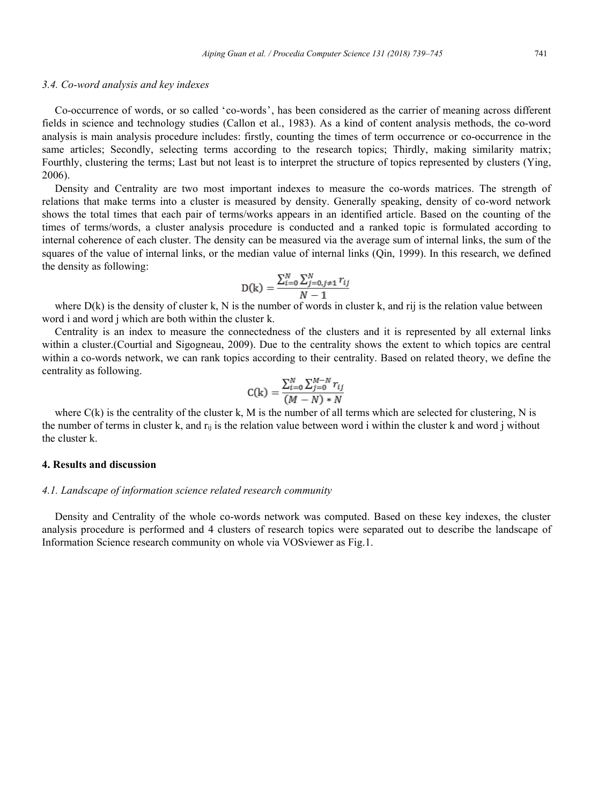### *3.4. Co-word analysis and key indexes*

Co-occurrence of words, or so called 'co-words', has been considered as the carrier of meaning across different fields in science and technology studies (Callon et al., 1983). As a kind of content analysis methods, the co-word analysis is main analysis procedure includes: firstly, counting the times of term occurrence or co-occurrence in the same articles; Secondly, selecting terms according to the research topics; Thirdly, making similarity matrix; Fourthly, clustering the terms; Last but not least is to interpret the structure of topics represented by clusters (Ying, 2006).

Density and Centrality are two most important indexes to measure the co-words matrices. The strength of relations that make terms into a cluster is measured by density. Generally speaking, density of co-word network shows the total times that each pair of terms/works appears in an identified article. Based on the counting of the times of terms/words, a cluster analysis procedure is conducted and a ranked topic is formulated according to internal coherence of each cluster. The density can be measured via the average sum of internal links, the sum of the squares of the value of internal links, or the median value of internal links (Qin, 1999). In this research, we defined the density as following:

$$
D(k) = \frac{\sum_{i=0}^{N} \sum_{j=0, j \neq 1}^{N} r_{ij}}{N-1}
$$

where  $D(k)$  is the density of cluster k, N is the number of words in cluster k, and rij is the relation value between word i and word j which are both within the cluster k.

Centrality is an index to measure the connectedness of the clusters and it is represented by all external links within a cluster.(Courtial and Sigogneau, 2009). Due to the centrality shows the extent to which topics are central within a co-words network, we can rank topics according to their centrality. Based on related theory, we define the centrality as following.

$$
C(k) = \frac{\sum_{i=0}^{N} \sum_{j=0}^{M-N} r_{ij}}{(M-N) * N}
$$

where  $C(k)$  is the centrality of the cluster k, M is the number of all terms which are selected for clustering, N is the number of terms in cluster k, and  $r_{ij}$  is the relation value between word i within the cluster k and word j without the cluster k.

# **4. Results and discussion**

### *4.1. Landscape of information science related research community*

Density and Centrality of the whole co-words network was computed. Based on these key indexes, the cluster analysis procedure is performed and 4 clusters of research topics were separated out to describe the landscape of Information Science research community on whole via VOSviewer as Fig.1.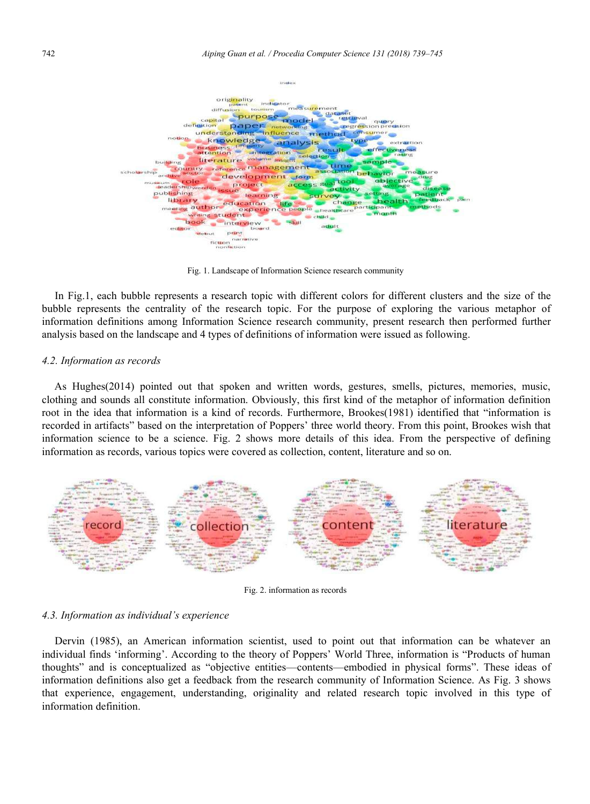

Fig. 1. Landscape of Information Science research community

In Fig.1, each bubble represents a research topic with different colors for different clusters and the size of the bubble represents the centrality of the research topic. For the purpose of exploring the various metaphor of information definitions among Information Science research community, present research then performed further analysis based on the landscape and 4 types of definitions of information were issued as following.

#### *4.2. Information as records*

As Hughes(2014) pointed out that spoken and written words, gestures, smells, pictures, memories, music, clothing and sounds all constitute information. Obviously, this first kind of the metaphor of information definition root in the idea that information is a kind of records. Furthermore, Brookes(1981) identified that "information is recorded in artifacts" based on the interpretation of Poppers' three world theory. From this point, Brookes wish that information science to be a science. Fig. 2 shows more details of this idea. From the perspective of defining information as records, various topics were covered as collection, content, literature and so on.



Fig. 2. information as records

### *4.3. Information as individual's experience*

Dervin (1985), an American information scientist, used to point out that information can be whatever an individual finds 'informing'. According to the theory of Poppers' World Three, information is "Products of human thoughts" and is conceptualized as "objective entities—contents—embodied in physical forms". These ideas of information definitions also get a feedback from the research community of Information Science. As Fig. 3 shows that experience, engagement, understanding, originality and related research topic involved in this type of information definition.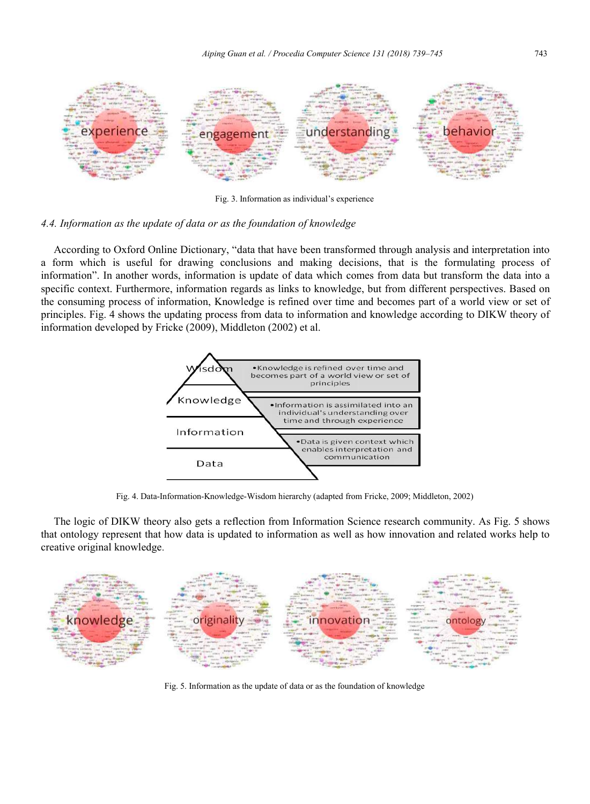

Fig. 3. Information as individual's experience

## *4.4. Information as the update of data or as the foundation of knowledge*

According to Oxford Online Dictionary, "data that have been transformed through analysis and interpretation into a form which is useful for drawing conclusions and making decisions, that is the formulating process of information". In another words, information is update of data which comes from data but transform the data into a specific context. Furthermore, information regards as links to knowledge, but from different perspectives. Based on the consuming process of information, Knowledge is refined over time and becomes part of a world view or set of principles. Fig. 4 shows the updating process from data to information and knowledge according to DIKW theory of information developed by Fricke (2009), Middleton (2002) et al.



Fig. 4. Data-Information-Knowledge-Wisdom hierarchy (adapted from Fricke, 2009; Middleton, 2002)

The logic of DIKW theory also gets a reflection from Information Science research community. As Fig. 5 shows that ontology represent that how data is updated to information as well as how innovation and related works help to creative original knowledge.



Fig. 5. Information as the update of data or as the foundation of knowledge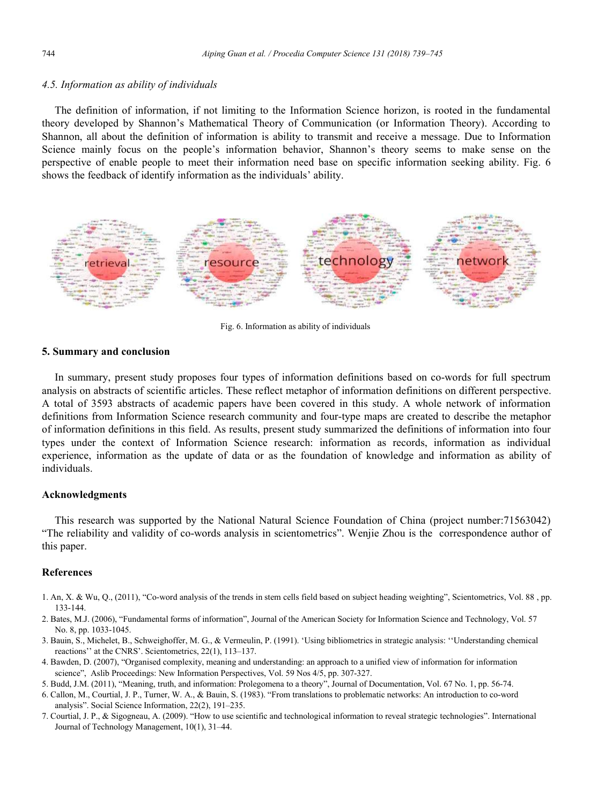### *4.5. Information as ability of individuals*

The definition of information, if not limiting to the Information Science horizon, is rooted in the fundamental theory developed by Shannon's Mathematical Theory of Communication (or Information Theory). According to Shannon, all about the definition of information is ability to transmit and receive a message. Due to Information Science mainly focus on the people's information behavior, Shannon's theory seems to make sense on the perspective of enable people to meet their information need base on specific information seeking ability. Fig. 6 shows the feedback of identify information as the individuals' ability.



Fig. 6. Information as ability of individuals

### **5. Summary and conclusion**

In summary, present study proposes four types of information definitions based on co-words for full spectrum analysis on abstracts of scientific articles. These reflect metaphor of information definitions on different perspective. A total of 3593 abstracts of academic papers have been covered in this study. A whole network of information definitions from Information Science research community and four-type maps are created to describe the metaphor of information definitions in this field. As results, present study summarized the definitions of information into four types under the context of Information Science research: information as records, information as individual experience, information as the update of data or as the foundation of knowledge and information as ability of individuals.

## **Acknowledgments**

This research was supported by the National Natural Science Foundation of China (project number:71563042) "The reliability and validity of co-words analysis in scientometrics". Wenjie Zhou is the correspondence author of this paper.

#### **References**

- 1. An, X. & Wu, Q., (2011), "Co-word analysis of the trends in stem cells field based on subject heading weighting", Scientometrics, Vol. 88 , pp. 133-144.
- 2. Bates, M.J. (2006), "Fundamental forms of information", Journal of the American Society for Information Science and Technology, Vol. 57 No. 8, pp. 1033-1045.
- 3. Bauin, S., Michelet, B., Schweighoffer, M. G., & Vermeulin, P. (1991). 'Using bibliometrics in strategic analysis: ''Understanding chemical reactions'' at the CNRS'. Scientometrics, 22(1), 113–137.
- 4. Bawden, D. (2007), "Organised complexity, meaning and understanding: an approach to a unified view of information for information science", Aslib Proceedings: New Information Perspectives, Vol. 59 Nos 4/5, pp. 307-327.
- 5. Budd, J.M. (2011), "Meaning, truth, and information: Prolegomena to a theory", Journal of Documentation, Vol. 67 No. 1, pp. 56-74.
- 6. Callon, M., Courtial, J. P., Turner, W. A., & Bauin, S. (1983). "From translations to problematic networks: An introduction to co-word analysis". Social Science Information, 22(2), 191–235.
- 7. Courtial, J. P., & Sigogneau, A. (2009). "How to use scientific and technological information to reveal strategic technologies". International Journal of Technology Management, 10(1), 31–44.